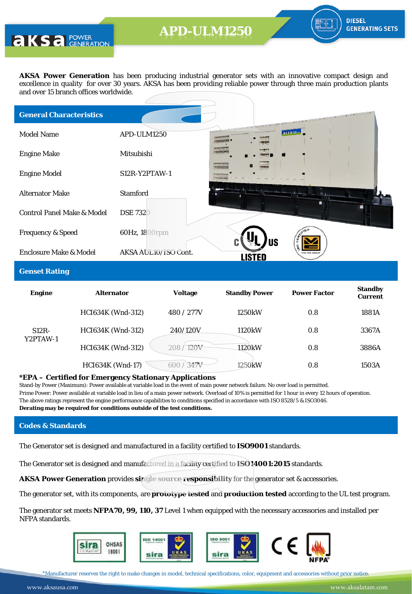**AKS** a POWER

**AKSA Power Generation** has been producing industrial generator sets with an innovative compact design and excellence in quality for over 30 years. AKSA has been providing reliable power through three main production plants and over 15 branch offices worldwide.

| <b>General Characteristics</b>        |                      |                                              | the context of the state of the context of the context of the context of the context of the context of the context of the context of the context of the context of the context of the context of the context of the context of |
|---------------------------------------|----------------------|----------------------------------------------|--------------------------------------------------------------------------------------------------------------------------------------------------------------------------------------------------------------------------------|
| <b>Model Name</b>                     | APD-ULM1250          | CELLLE-<br><b><i><u>ALLESS SETTE</u></i></b> | aksass                                                                                                                                                                                                                         |
| <b>Engine Make</b>                    | Mitsubishi           |                                              |                                                                                                                                                                                                                                |
| <b>Engine Model</b>                   | $S12R-Y2PTAW-1$      |                                              |                                                                                                                                                                                                                                |
| <b>Alternator Make</b>                | <b>Stamford</b>      |                                              |                                                                                                                                                                                                                                |
| <b>Control Panel Make &amp; Model</b> | <b>DSE 7320</b>      |                                              |                                                                                                                                                                                                                                |
| <b>Frequency &amp; Speed</b>          | 60Hz, 1800rpm        |                                              |                                                                                                                                                                                                                                |
| <b>Enclosure Make &amp; Model</b>     | AKSA AUL10/ISO Cont. | <b>US</b>                                    |                                                                                                                                                                                                                                |

### **Genset Rating**

| <b>Engine</b>       | <b>Alternator</b>        | <b>Voltage</b>           | <b>Standby Power</b> | <b>Power Factor</b> | <b>Standby</b><br><b>Current</b> |
|---------------------|--------------------------|--------------------------|----------------------|---------------------|----------------------------------|
|                     | <b>HCI634K (Wnd-312)</b> | 480 / 277V               | 1250kW               | 0.8                 | 1881A                            |
| $S12R-$<br>Y2PTAW-1 | <b>HCI634K (Wnd-312)</b> | 240/120V                 | 1120 <sub>k</sub> W  | 0.8                 | 3367A                            |
|                     | <b>HCI634K (Wnd-312)</b> | 120V<br>208 <sub>1</sub> | 1120 <sub>k</sub> W  | 0.8                 | 3886A                            |
|                     | <b>HCI634K (Wnd-17)</b>  | 347v<br>600              | 1250 <sub>k</sub> W  | 0.8                 | 1503A                            |

#### **\*EPA – Certified for Emergency Stationary Applications**

Stand-by Power (Maximum): Power available at variable load in the event of main power network failure. No over load is permitted. Prime Power: Power available at variable load in lieu of a main power network. Overload of 10% is permitted for 1 hour in every 12 hours of operation. The above ratings represent the engine performance capabilities to conditions specified in accordance with ISO 8528/5 & ISO3046. **Derating may be required for conditions outside of the test conditions.**

#### **Codes & Standards**

The Generator set is designed and manufactured in a facility certified to **ISO9001** standards.

The Generator set is designed and manufactured in a facility certified to **ISO14001:2015** standards.

**AKSA Power Generation** provides **single source responsibility** for the generator set & accessories.

The generator set, with its components, are **prototype tested** and **production tested** according to the UL test program.

The generator set meets **NFPA70, 99, 110, 37** Level 1 when equipped with the necessary accessories and installed per NFPA standards.



\*Manufacturer reserves the right to make changes in model, technical specifications, color, equipment and accessories without prior notice.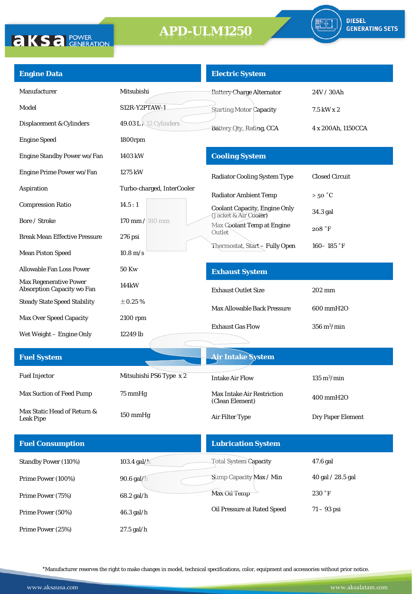

| <b>Engine Data</b>                                                 |                               | <b>Electric System</b>                               |                              |
|--------------------------------------------------------------------|-------------------------------|------------------------------------------------------|------------------------------|
| Manufacturer                                                       | Mitsubishi                    | <b>Battery Charge Alternator</b>                     | 24V / 30Ah                   |
| Model                                                              | S12R-Y2PTAW-1                 | <b>Starting Motor Capacity</b>                       | 7.5 kW x 2                   |
| Displacement & Cylinders                                           | $49.03 L \times 12$ Cylinders | Battery Qtv, Rating, CCA                             | 4 x 200Ah, 1150CCA           |
| <b>Engine Speed</b>                                                | 1800rpm                       |                                                      |                              |
| Engine Standby Power wo/Fan                                        | 1403 kW                       | <b>Cooling System</b>                                |                              |
| Engine Prime Power wo/Fan                                          | 1275 kW                       | <b>Radiator Cooling System Type</b>                  | <b>Closed Circuit</b>        |
| Aspiration                                                         | Turbo-charged, InterCooler    | <b>Radiator Ambient Temp</b>                         | $>50\degree C$               |
| <b>Compression Ratio</b>                                           | 14.5:1                        | <b>Coolant Capacity, Engine Only</b>                 | 34.3 gal                     |
| Bore / Stroke                                                      | 170 mm / 180 mm               | (Jacket & Air Cooler)<br>Max Coolant Temp at Engine  |                              |
| <b>Break Mean Effective Pressure</b>                               | $276$ psi                     | Outlet                                               | 208 °F                       |
| <b>Mean Piston Speed</b>                                           | $10.8 \text{ m/s}$            | Thermostat, Start-Fully Open                         | 160-185 $\degree$ F          |
| <b>Allowable Fan Loss Power</b>                                    | <b>50 Kw</b>                  | <b>Exhaust System</b>                                |                              |
| <b>Max Regenerative Power</b><br><b>Absorption Capacity wo Fan</b> | 144kW                         | <b>Exhaust Outlet Size</b>                           | 202 mm                       |
| <b>Steady State Speed Stability</b>                                | $\pm$ 0.25 %                  | <b>Max Allowable Back Pressure</b>                   | 600 mmH2O                    |
| <b>Max Over Speed Capacity</b>                                     | 2100 rpm                      |                                                      |                              |
| Wet Weight - Engine Only                                           | 12249 lb                      | <b>Exhaust Gas Flow</b>                              | $356 \text{ m}^3/\text{min}$ |
|                                                                    |                               |                                                      |                              |
| <b>Fuel System</b>                                                 |                               | <b>Air Intake System</b>                             |                              |
| <b>Fuel Injector</b>                                               | Mitsubishi PS6 Type x 2       | <b>Intake Air Flow</b>                               | $135 \text{ m}^3/\text{min}$ |
| Max Suction of Feed Pump                                           | 75 mmHg                       | <b>Max Intake Air Restriction</b><br>(Clean Element) | 400 mmH2O                    |
| Max Static Head of Return &<br><b>Leak Pipe</b>                    | 150 mmHg                      | Air Filter Type                                      | Dry Paper Element            |
| <b>Fuel Consumption</b>                                            |                               | <b>Lubrication System</b>                            |                              |
| <b>Standby Power (110%)</b>                                        | 103.4 gal/h                   | <b>Total System Capacity</b>                         | 47.6 gal                     |
| Prime Power (100%)                                                 | 90.6 gal/h                    | Sump Capacity Max / Min                              | 40 gal / 28.5 gal            |
| Prime Power (75%)                                                  | 68.2 gal/h                    | Max Oil Temp                                         | 230 °F                       |
| Prime Power (50%)                                                  | 46.3 gal/h                    | Oil Pressure at Rated Speed                          | $71 - 93$ psi                |
| Prime Power (25%)                                                  | 27.5 gal/h                    |                                                      |                              |

\*Manufacturer reserves the right to make changes in model, technical specifications, color, equipment and accessories without prior notice.

**AKSA POWER**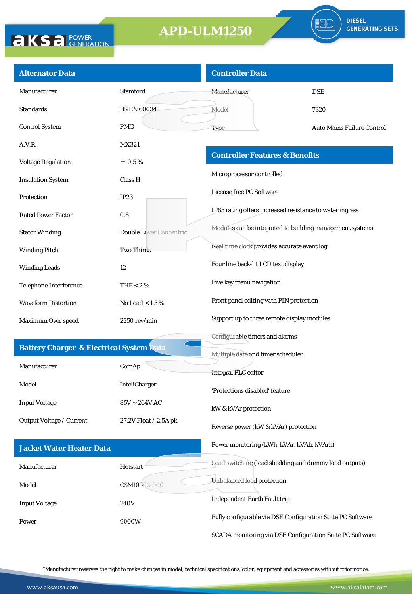

| <b>Alternator Data</b>                              |                                      | <b>Controller Data</b>                                     |                            |
|-----------------------------------------------------|--------------------------------------|------------------------------------------------------------|----------------------------|
| Manufacturer                                        | <b>Stamford</b>                      | Manufacturer                                               | <b>DSE</b>                 |
| <b>Standards</b>                                    | <b>BS EN 60034</b>                   | Model                                                      | 7320                       |
| <b>Control System</b>                               | <b>PMG</b>                           | Type                                                       | Auto Mains Failure Control |
| A.V.R.                                              | MX321                                |                                                            |                            |
| <b>Voltage Regulation</b>                           | $\pm$ 0.5%                           | <b>Controller Features &amp; Benefits</b>                  |                            |
| <b>Insulation System</b>                            | Class H                              | Microprocessor controlled                                  |                            |
| Protection                                          | <b>IP23</b>                          | License free PC Software                                   |                            |
| <b>Rated Power Factor</b>                           | 0.8                                  | IP65 rating offers increased resistance to water ingress   |                            |
| <b>Stator Winding</b>                               | Double Layer Concentric              | Modules can be integrated to building management systems   |                            |
| <b>Winding Pitch</b>                                | Two Thirds                           | Real time clock provides accurate event log                |                            |
| <b>Winding Leads</b>                                | 12                                   | Four line back-lit LCD text display                        |                            |
| <b>Telephone Interference</b>                       | THF $< 2 \%$                         | Five key menu navigation                                   |                            |
| <b>Waveform Distortion</b>                          | No Load $< 1.5 \%$                   | Front panel editing with PIN protection                    |                            |
| Maximum Over speed                                  | 2250 rev/min                         | Support up to three remote display modules                 |                            |
|                                                     |                                      | Configurable timers and alarms                             |                            |
| <b>Battery Charger &amp; Electrical System Data</b> |                                      | Multiple date and timer scheduler                          |                            |
| Manufacturer                                        | ComAp                                | Integral PLC editor                                        |                            |
| Model                                               | InteliCharger                        | 'Protections disabled' feature                             |                            |
| <b>Input Voltage</b>                                | $85\textrm{V} \sim 264\textrm{V}$ AC | kW & kVAr protection                                       |                            |
| Output Voltage / Current                            | 27.2V Float / 2.5A pk                | Reverse power (kW & kVAr) protection                       |                            |
| <b>Jacket Water Heater Data</b>                     |                                      | Power monitoring (kWh, kVAr, kVAh, kVArh)                  |                            |
| Manufacturer                                        | Hotstart                             | Load switching (load shedding and dummy load outputs)      |                            |
| Model                                               | CSM10902-000                         | Unbalanced load protection                                 |                            |
| <b>Input Voltage</b>                                | 240V                                 | <b>Independent Earth Fault trip</b>                        |                            |
| Power                                               | 9000W                                | Fully configurable via DSE Configuration Suite PC Software |                            |
|                                                     |                                      | SCADA monitoring via DSE Configuration Suite PC Software   |                            |
|                                                     |                                      |                                                            |                            |

\*Manufacturer reserves the right to make changes in model, technical specifications, color, equipment and accessories without prior notice.

**AKSA POWER**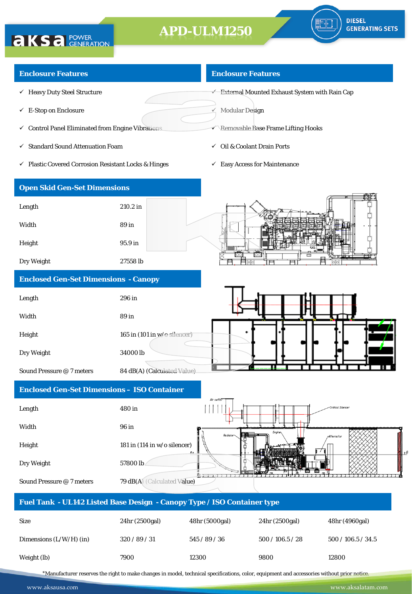

#### **Enclosure Features**

**AKSA POWER** 

- $\checkmark$  Heavy Duty Steel Structure
- $\checkmark$  E-Stop on Enclosure
- $\checkmark$  Control Panel Eliminated from Engine Vibrations
- $\checkmark~$  Standard Sound Attenuation Foam
- Plastic Covered Corrosion Resistant Locks & Hinges

#### **Enclosure Features**

 $\overrightarrow{E}$ xternal Mounted Exhaust System with Rain Cap

 $\angle$  Modular Design

- **Removable Base Frame Lifting Hooks**
- $\checkmark$  Oil & Coolant Drain Ports
- $\checkmark$  Easy Access for Maintenance

| <b>Open Skid Gen-Set Dimensions</b> |          |                |
|-------------------------------------|----------|----------------|
| Length                              | 210.2 in |                |
| Width                               | 89 in    |                |
| Height                              | 95.9 in  | <b>CALLAST</b> |
| Dry Weight                          | 27558 lb | $\Box$         |
|                                     |          |                |

#### **Enclosed Gen-Set Dimensions - Canopy**

| Length                    | 296 in                                         |  |  |
|---------------------------|------------------------------------------------|--|--|
| Width                     | 89 in                                          |  |  |
| Height                    | 165 in $(101 \text{ in } w/\text{e-silencer})$ |  |  |
| Dry Weight                | 34000lb                                        |  |  |
| Sound Pressure @ 7 meters | 84 dB(A) (Calculated Value)                    |  |  |

### **Enclosed Gen-Set Dimensions – ISO Container**

| Length                                                                  | 480 in                                | Air outle |        |                   | -Critical Silencer |       |
|-------------------------------------------------------------------------|---------------------------------------|-----------|--------|-------------------|--------------------|-------|
| Width                                                                   | 96 in                                 |           |        |                   |                    |       |
| Height                                                                  | 181 in $(114$ in w/o silencer)<br>B t | Radiator  | Engine | <b>Alternator</b> |                    | ZN ⊀£ |
| Dry Weight                                                              | 57800 lb                              |           |        |                   |                    |       |
| Sound Pressure @ 7 meters                                               | 79 dB(A) (Calculated Value)           |           |        |                   |                    |       |
| Fuel Tank - UL142 Listed Base Design - Canopy Type / ISO Container type |                                       |           |        |                   |                    |       |

| <b>Size</b>               | 24hr (2500gal) | 48hr (5000gal) | 24hr (2500gal) | 48hr (4960gal)     |
|---------------------------|----------------|----------------|----------------|--------------------|
| Dimensions $(L/W/H)$ (in) | 320/89/31      | 545/89/36      | 500/106.5/28   | 500 / 106.5 / 34.5 |
| Weight (lb)               | 7900           | 12300          | 9800           | 12800              |

\*Manufacturer reserves the right to make changes in model, technical specifications, color, equipment and accessories without prior notice.